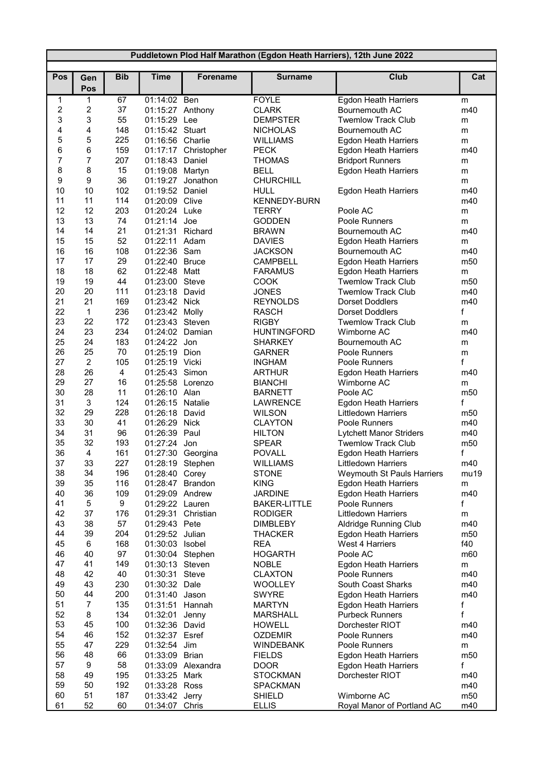| Puddletown Plod Half Marathon (Egdon Heath Harriers), 12th June 2022 |                              |            |                                    |                      |                                 |                                             |                      |  |
|----------------------------------------------------------------------|------------------------------|------------|------------------------------------|----------------------|---------------------------------|---------------------------------------------|----------------------|--|
|                                                                      |                              |            |                                    |                      |                                 |                                             |                      |  |
| Pos                                                                  | Gen                          | <b>Bib</b> | <b>Time</b>                        | Forename             | <b>Surname</b>                  | <b>Club</b>                                 | Cat                  |  |
|                                                                      | Pos                          |            |                                    |                      |                                 |                                             |                      |  |
| 1<br>$\sqrt{2}$                                                      | 1                            | 67         | 01:14:02 Ben                       |                      | <b>FOYLE</b>                    | <b>Egdon Heath Harriers</b>                 | m                    |  |
| 3                                                                    | $\overline{\mathbf{c}}$<br>3 | 37<br>55   | 01:15:27 Anthony<br>01:15:29 Lee   |                      | <b>CLARK</b><br><b>DEMPSTER</b> | Bournemouth AC<br><b>Twemlow Track Club</b> | m40                  |  |
| 4                                                                    | 4                            | 148        | 01:15:42 Stuart                    |                      | <b>NICHOLAS</b>                 | Bournemouth AC                              | m<br>m               |  |
| 5                                                                    | 5                            | 225        | 01:16:56 Charlie                   |                      | <b>WILLIAMS</b>                 | <b>Egdon Heath Harriers</b>                 | m                    |  |
| 6                                                                    | 6                            | 159        |                                    | 01:17:17 Christopher | <b>PECK</b>                     | <b>Egdon Heath Harriers</b>                 | m40                  |  |
| $\overline{7}$                                                       | $\overline{7}$               | 207        | 01:18:43                           | Daniel               | <b>THOMAS</b>                   | <b>Bridport Runners</b>                     | m                    |  |
| 8                                                                    | 8                            | 15         | 01:19:08 Martyn                    |                      | <b>BELL</b>                     | <b>Egdon Heath Harriers</b>                 | m                    |  |
| 9                                                                    | $\boldsymbol{9}$             | 36         | 01:19:27                           | Jonathon             | <b>CHURCHILL</b>                |                                             | m                    |  |
| 10                                                                   | 10                           | 102        | 01:19:52 Daniel                    |                      | HULL                            | Egdon Heath Harriers                        | m40                  |  |
| 11                                                                   | 11                           | 114        | 01:20:09 Clive                     |                      | <b>KENNEDY-BURN</b>             |                                             | m40                  |  |
| 12                                                                   | 12                           | 203        | 01:20:24 Luke                      |                      | <b>TERRY</b>                    | Poole AC                                    | m                    |  |
| 13                                                                   | 13                           | 74         | 01:21:14 Joe                       |                      | <b>GODDEN</b>                   | Poole Runners                               | m                    |  |
| 14                                                                   | 14                           | 21         | 01:21:31                           | Richard              | <b>BRAWN</b>                    | Bournemouth AC                              | m40                  |  |
| 15                                                                   | 15                           | 52         | 01:22:11 Adam                      |                      | <b>DAVIES</b>                   | <b>Egdon Heath Harriers</b>                 | m                    |  |
| 16                                                                   | 16                           | 108        | 01:22:36 Sam                       |                      | <b>JACKSON</b>                  | Bournemouth AC                              | m40                  |  |
| 17                                                                   | 17                           | 29         | 01:22:40 Bruce                     |                      | <b>CAMPBELL</b>                 | <b>Egdon Heath Harriers</b>                 | m <sub>50</sub>      |  |
| 18                                                                   | 18                           | 62         | 01:22:48 Matt                      |                      | <b>FARAMUS</b>                  | Egdon Heath Harriers                        | m                    |  |
| 19                                                                   | 19                           | 44         | 01:23:00 Steve                     |                      | <b>COOK</b>                     | <b>Twemlow Track Club</b>                   | m <sub>50</sub>      |  |
| 20                                                                   | 20                           | 111        | 01:23:18 David                     |                      | <b>JONES</b>                    | <b>Twemlow Track Club</b>                   | m40                  |  |
| 21                                                                   | 21                           | 169        | 01:23:42 Nick                      |                      | <b>REYNOLDS</b>                 | <b>Dorset Doddlers</b>                      | m40                  |  |
| 22                                                                   | $\mathbf{1}$                 | 236        | 01:23:42 Molly                     |                      | <b>RASCH</b>                    | <b>Dorset Doddlers</b>                      | f                    |  |
| 23                                                                   | 22                           | 172        | 01:23:43 Steven                    |                      | <b>RIGBY</b>                    | <b>Twemlow Track Club</b>                   | m                    |  |
| 24                                                                   | 23                           | 234        | 01:24:02 Damian                    |                      | <b>HUNTINGFORD</b>              | Wimborne AC                                 | m40                  |  |
| 25                                                                   | 24                           | 183        | 01:24:22 Jon                       |                      | <b>SHARKEY</b>                  | Bournemouth AC                              | m                    |  |
| 26                                                                   | 25                           | 70         | 01:25:19 Dion                      |                      | <b>GARNER</b>                   | Poole Runners                               | m                    |  |
| 27<br>28                                                             | $\overline{2}$<br>26         | 105        | 01:25:19 Vicki                     |                      | <b>INGHAM</b>                   | Poole Runners                               | f                    |  |
| 29                                                                   | 27                           | 4<br>16    | 01:25:43 Simon<br>01:25:58 Lorenzo |                      | <b>ARTHUR</b><br><b>BIANCHI</b> | <b>Egdon Heath Harriers</b><br>Wimborne AC  | m40                  |  |
| 30                                                                   | 28                           | 11         | 01:26:10 Alan                      |                      | <b>BARNETT</b>                  | Poole AC                                    | m<br>m <sub>50</sub> |  |
| 31                                                                   | 3                            | 124        | 01:26:15 Natalie                   |                      | <b>LAWRENCE</b>                 | <b>Egdon Heath Harriers</b>                 | f                    |  |
| 32                                                                   | 29                           | 228        | 01:26:18 David                     |                      | <b>WILSON</b>                   | <b>Littledown Harriers</b>                  | m <sub>50</sub>      |  |
| 33                                                                   | 30                           | 41         | 01:26:29 Nick                      |                      | <b>CLAYTON</b>                  | Poole Runners                               | m40                  |  |
| 34                                                                   | 31                           | 96         | 01:26:39 Paul                      |                      | <b>HILTON</b>                   | <b>Lytchett Manor Striders</b>              | m40                  |  |
| 35                                                                   | 32                           | 193        | 01:27:24 Jon                       |                      | <b>SPEAR</b>                    | <b>Twemlow Track Club</b>                   | m <sub>50</sub>      |  |
| 36                                                                   | 4                            | 161        |                                    | 01:27:30 Georgina    | <b>POVALL</b>                   | <b>Egdon Heath Harriers</b>                 | f                    |  |
| 37                                                                   | 33                           | 227        | 01:28:19 Stephen                   |                      | <b>WILLIAMS</b>                 | Littledown Harriers                         | m40                  |  |
| 38                                                                   | 34                           | 196        | 01:28:40 Corey                     |                      | <b>STONE</b>                    | Weymouth St Pauls Harriers                  | mu19                 |  |
| 39                                                                   | 35                           | 116        | 01:28:47 Brandon                   |                      | <b>KING</b>                     | Egdon Heath Harriers                        | m                    |  |
| 40                                                                   | 36                           | 109        | 01:29:09 Andrew                    |                      | <b>JARDINE</b>                  | Egdon Heath Harriers                        | m40                  |  |
| 41                                                                   | 5                            | 9          | 01:29:22 Lauren                    |                      | <b>BAKER-LITTLE</b>             | Poole Runners                               | f                    |  |
| 42                                                                   | 37                           | 176        | 01:29:31 Christian                 |                      | <b>RODIGER</b>                  | <b>Littledown Harriers</b>                  | m                    |  |
| 43                                                                   | 38                           | 57         | 01:29:43 Pete                      |                      | <b>DIMBLEBY</b>                 | <b>Aldridge Running Club</b>                | m40                  |  |
| 44                                                                   | 39                           | 204        | 01:29:52 Julian                    |                      | <b>THACKER</b>                  | Egdon Heath Harriers                        | m50                  |  |
| 45                                                                   | 6                            | 168        | 01:30:03 Isobel                    |                      | <b>REA</b>                      | West 4 Harriers                             | f40                  |  |
| 46                                                                   | 40                           | 97         | 01:30:04 Stephen                   |                      | <b>HOGARTH</b>                  | Poole AC                                    | m60                  |  |
| 47                                                                   | 41                           | 149        | 01:30:13 Steven                    |                      | <b>NOBLE</b>                    | <b>Egdon Heath Harriers</b>                 | m                    |  |
| 48<br>49                                                             | 42<br>43                     | 40<br>230  | 01:30:31 Steve                     |                      | <b>CLAXTON</b>                  | Poole Runners                               | m40                  |  |
| 50                                                                   | 44                           | 200        | 01:30:32 Dale<br>01:31:40 Jason    |                      | <b>WOOLLEY</b><br><b>SWYRE</b>  | South Coast Sharks<br>Egdon Heath Harriers  | m40<br>m40           |  |
| 51                                                                   | $\overline{7}$               | 135        | 01:31:51                           | Hannah               | <b>MARTYN</b>                   | Egdon Heath Harriers                        |                      |  |
| 52                                                                   | 8                            | 134        | 01:32:01                           | Jenny                | <b>MARSHALL</b>                 | <b>Purbeck Runners</b>                      | f<br>f               |  |
| 53                                                                   | 45                           | 100        | 01:32:36 David                     |                      | <b>HOWELL</b>                   | Dorchester RIOT                             | m40                  |  |
| 54                                                                   | 46                           | 152        | 01:32:37 Esref                     |                      | <b>OZDEMIR</b>                  | Poole Runners                               | m40                  |  |
| 55                                                                   | 47                           | 229        | 01:32:54                           | Jim                  | <b>WINDEBANK</b>                | Poole Runners                               | m                    |  |
| 56                                                                   | 48                           | 66         | 01:33:09 Brian                     |                      | <b>FIELDS</b>                   | <b>Egdon Heath Harriers</b>                 | m50                  |  |
| 57                                                                   | 9                            | 58         |                                    | 01:33:09 Alexandra   | <b>DOOR</b>                     | Egdon Heath Harriers                        | f                    |  |
| 58                                                                   | 49                           | 195        | 01:33:25 Mark                      |                      | <b>STOCKMAN</b>                 | Dorchester RIOT                             | m40                  |  |
| 59                                                                   | 50                           | 192        | 01:33:28 Ross                      |                      | <b>SPACKMAN</b>                 |                                             | m40                  |  |
| 60                                                                   | 51                           | 187        | 01:33:42 Jerry                     |                      | <b>SHIELD</b>                   | Wimborne AC                                 | m50                  |  |
| 61                                                                   | 52                           | 60         | 01:34:07 Chris                     |                      | <b>ELLIS</b>                    | Royal Manor of Portland AC                  | m40                  |  |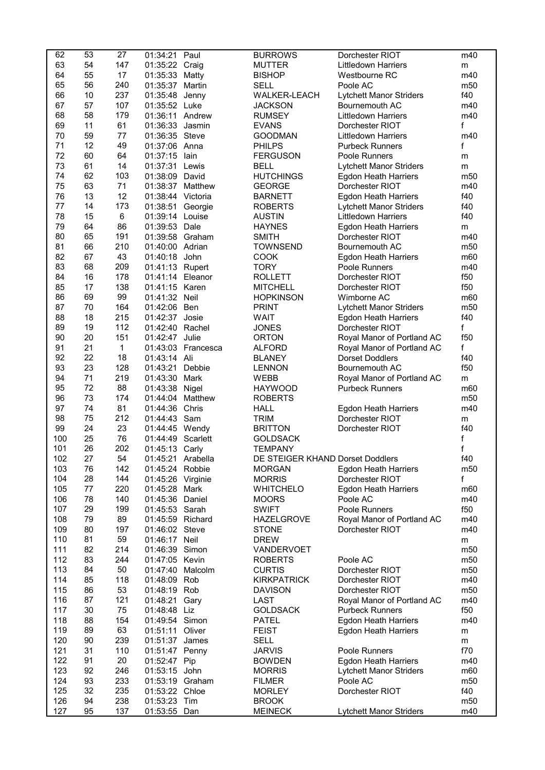| 62         | 53       | 27         | 01:34:21 Paul                         |           | <b>BURROWS</b>                   | Dorchester RIOT                              | m40                    |
|------------|----------|------------|---------------------------------------|-----------|----------------------------------|----------------------------------------------|------------------------|
| 63         | 54       | 147        | 01:35:22 Craig                        |           | <b>MUTTER</b>                    | <b>Littledown Harriers</b>                   | m                      |
| 64         | 55       | 17         | 01:35:33 Matty                        |           | <b>BISHOP</b>                    | Westbourne RC                                | m40                    |
| 65         | 56       | 240        | 01:35:37                              | Martin    | <b>SELL</b>                      | Poole AC                                     | m <sub>50</sub>        |
| 66         | 10       | 237        | 01:35:48                              | Jenny     | WALKER-LEACH                     | Lytchett Manor Striders                      | f40                    |
| 67         | 57       | 107        | 01:35:52 Luke                         |           | <b>JACKSON</b>                   | Bournemouth AC                               | m40                    |
| 68         | 58       | 179        | 01:36:11 Andrew                       |           | <b>RUMSEY</b>                    | <b>Littledown Harriers</b>                   | m40                    |
| 69         | 11       | 61         | 01:36:33 Jasmin                       |           | <b>EVANS</b>                     | Dorchester RIOT                              | f                      |
| 70         | 59       | $77\,$     | 01:36:35 Steve                        |           | <b>GOODMAN</b>                   | <b>Littledown Harriers</b>                   | m40                    |
| 71         | 12       | 49         | 01:37:06 Anna                         |           | <b>PHILPS</b>                    | <b>Purbeck Runners</b>                       | f                      |
| 72         | 60       | 64         | 01:37:15 lain                         |           | <b>FERGUSON</b>                  | Poole Runners                                | m                      |
| 73         | 61       | 14         | 01:37:31 Lewis                        |           | <b>BELL</b>                      | <b>Lytchett Manor Striders</b>               | m                      |
| 74         | 62       | 103        | 01:38:09 David                        |           | <b>HUTCHINGS</b>                 | Egdon Heath Harriers                         | m <sub>50</sub>        |
| 75<br>76   | 63<br>13 | 71<br>12   | 01:38:37 Matthew<br>01:38:44 Victoria |           | <b>GEORGE</b>                    | Dorchester RIOT                              | m40<br>f40             |
| 77         | 14       | 173        | 01:38:51                              |           | <b>BARNETT</b><br><b>ROBERTS</b> | <b>Egdon Heath Harriers</b>                  | f40                    |
| 78         | 15       | 6          |                                       | Georgie   |                                  | <b>Lytchett Manor Striders</b>               |                        |
| 79         | 64       | 86         | 01:39:14 Louise<br>01:39:53 Dale      |           | <b>AUSTIN</b><br><b>HAYNES</b>   | <b>Littledown Harriers</b>                   | f40                    |
| 80         | 65       | 191        | 01:39:58 Graham                       |           | <b>SMITH</b>                     | Egdon Heath Harriers<br>Dorchester RIOT      | m<br>m40               |
| 81         | 66       | 210        | 01:40:00 Adrian                       |           | <b>TOWNSEND</b>                  | Bournemouth AC                               | m50                    |
| 82         | 67       | 43         | 01:40:18 John                         |           | <b>COOK</b>                      | <b>Egdon Heath Harriers</b>                  | m60                    |
| 83         | 68       | 209        | 01:41:13 Rupert                       |           | <b>TORY</b>                      | Poole Runners                                | m40                    |
| 84         | 16       | 178        | 01:41:14 Eleanor                      |           | <b>ROLLETT</b>                   | Dorchester RIOT                              | f50                    |
| 85         | 17       | 138        | 01:41:15 Karen                        |           | <b>MITCHELL</b>                  | Dorchester RIOT                              | f50                    |
| 86         | 69       | 99         | 01:41:32 Neil                         |           | <b>HOPKINSON</b>                 | Wimborne AC                                  | m60                    |
| 87         | 70       | 164        | 01:42:06 Ben                          |           | <b>PRINT</b>                     | <b>Lytchett Manor Striders</b>               | m50                    |
| 88         | 18       | 215        | 01:42:37 Josie                        |           | <b>WAIT</b>                      | <b>Egdon Heath Harriers</b>                  | f40                    |
| 89         | 19       | 112        | 01:42:40 Rachel                       |           | <b>JONES</b>                     | Dorchester RIOT                              | f                      |
| 90         | 20       | 151        | 01:42:47                              | Julie     | <b>ORTON</b>                     | Royal Manor of Portland AC                   | f50                    |
| 91         | 21       | 1          | 01:43:03                              | Francesca | <b>ALFORD</b>                    | Royal Manor of Portland AC                   | f                      |
| 92         | 22       | 18         | 01:43:14 Ali                          |           | <b>BLANEY</b>                    | <b>Dorset Doddlers</b>                       | f40                    |
| 93         | 23       | 128        | 01:43:21                              | Debbie    | <b>LENNON</b>                    | Bournemouth AC                               | f50                    |
| 94         | 71       | 219        | 01:43:30                              | Mark      | <b>WEBB</b>                      | Royal Manor of Portland AC                   | m                      |
| 95         | 72       | 88         | 01:43:38 Nigel                        |           | <b>HAYWOOD</b>                   | <b>Purbeck Runners</b>                       | m60                    |
| 96         | 73       | 174        | 01:44:04                              | Matthew   | <b>ROBERTS</b>                   |                                              | m50                    |
| 97         | 74       | 81         | 01:44:36 Chris                        |           | <b>HALL</b>                      | <b>Egdon Heath Harriers</b>                  | m40                    |
| 98         | 75       | 212        | 01:44:43 Sam                          |           | <b>TRIM</b>                      | Dorchester RIOT                              | m                      |
| 99         | 24       | 23         | 01:44:45 Wendy                        |           | <b>BRITTON</b>                   | Dorchester RIOT                              | f40                    |
| 100        | 25       | 76         | 01:44:49 Scarlett                     |           | <b>GOLDSACK</b>                  |                                              | f                      |
| 101        | 26       | 202        | 01:45:13 Carly                        |           | <b>TEMPANY</b>                   |                                              | f                      |
| 102        | 27       | 54         | 01:45:21 Arabella                     |           | DE STEIGER KHAND Dorset Doddlers |                                              | f40                    |
| 103        | 76       | 142        | 01:45:24 Robbie                       |           | <b>MORGAN</b>                    | <b>Egdon Heath Harriers</b>                  | m <sub>50</sub>        |
| 104        | 28       | 144        | 01:45:26 Virginie                     |           | <b>MORRIS</b>                    | Dorchester RIOT                              | f                      |
| 105        | 77       | 220        | 01:45:28                              | Mark      | <b>WHITCHELO</b>                 | <b>Egdon Heath Harriers</b>                  | m60                    |
| 106        | 78       | 140        | 01:45:36 Daniel                       |           | <b>MOORS</b>                     | Poole AC                                     | m40                    |
| 107        | 29       | 199        | 01:45:53 Sarah                        |           | <b>SWIFT</b>                     | Poole Runners                                | f50                    |
| 108        | 79       | 89         | 01:45:59 Richard                      |           | <b>HAZELGROVE</b>                | Royal Manor of Portland AC                   | m40                    |
| 109        | 80       | 197        | 01:46:02 Steve                        |           | <b>STONE</b>                     | Dorchester RIOT                              | m40                    |
| 110        | 81       | 59         | 01:46:17 Neil                         |           | <b>DREW</b>                      |                                              | m                      |
| 111        | 82       | 214        | 01:46:39 Simon                        |           | VANDERVOET                       |                                              | m <sub>50</sub>        |
| 112        | 83       | 244        | 01:47:05 Kevin                        |           | <b>ROBERTS</b>                   | Poole AC                                     | m50                    |
| 113        | 84       | 50         | 01:47:40                              | Malcolm   | <b>CURTIS</b>                    | Dorchester RIOT                              | m50                    |
| 114        | 85       | 118        | 01:48:09 Rob                          |           | <b>KIRKPATRICK</b>               | Dorchester RIOT                              | m40                    |
| 115        | 86       | 53         | 01:48:19 Rob                          |           | <b>DAVISON</b>                   | Dorchester RIOT                              | m <sub>50</sub>        |
| 116        | 87       | 121        | 01:48:21                              | Gary      | LAST                             | Royal Manor of Portland AC                   | m40                    |
| 117        | 30       | 75         | 01:48:48 Liz                          |           | <b>GOLDSACK</b>                  | <b>Purbeck Runners</b>                       | f50                    |
| 118        | 88       | 154        | 01:49:54 Simon                        |           | <b>PATEL</b>                     | <b>Egdon Heath Harriers</b>                  | m40                    |
| 119        | 89       | 63         | 01:51:11                              | Oliver    | <b>FEIST</b>                     | Egdon Heath Harriers                         | m                      |
| 120<br>121 | 90<br>31 | 239        | 01:51:37                              | James     | <b>SELL</b><br><b>JARVIS</b>     |                                              | m                      |
| 122        | 91       | 110<br>20  | 01:51:47 Penny<br>01:52:47            | Pip       | <b>BOWDEN</b>                    | Poole Runners<br><b>Egdon Heath Harriers</b> | f70<br>m40             |
| 123        | 92       | 246        | 01:53:15 John                         |           | <b>MORRIS</b>                    | <b>Lytchett Manor Striders</b>               | m60                    |
| 124        | 93       | 233        | 01:53:19 Graham                       |           | <b>FILMER</b>                    | Poole AC                                     | m <sub>50</sub>        |
| 125        |          |            |                                       |           |                                  |                                              |                        |
|            |          |            |                                       |           |                                  |                                              |                        |
| 126        | 32<br>94 | 235<br>238 | 01:53:22 Chloe<br>01:53:23 Tim        |           | <b>MORLEY</b><br><b>BROOK</b>    | Dorchester RIOT                              | f40<br>m <sub>50</sub> |